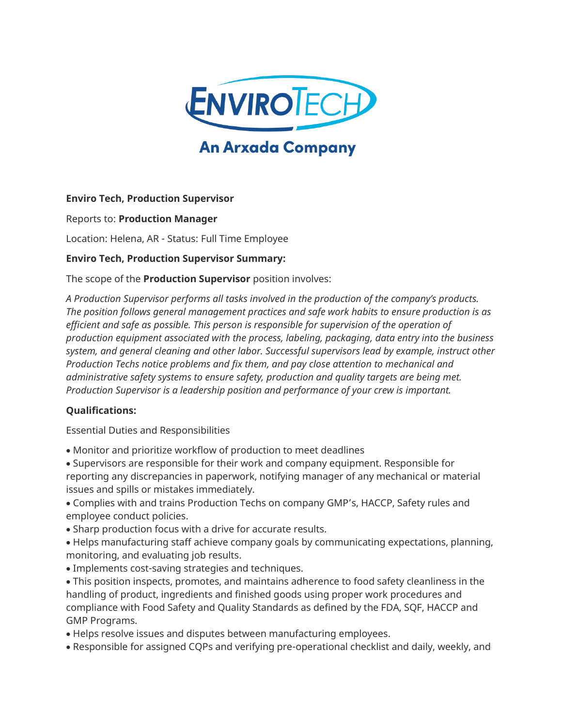

# **An Arxada Company**

### **Enviro Tech, Production Supervisor**

Reports to: **Production Manager**

Location: Helena, AR - Status: Full Time Employee

#### **Enviro Tech, Production Supervisor Summary:**

The scope of the **Production Supervisor** position involves:

*A Production Supervisor performs all tasks involved in the production of the company's products. The position follows general management practices and safe work habits to ensure production is as*  efficient and safe as possible. This person is responsible for supervision of the operation of *production equipment associated with the process, labeling, packaging, data entry into the business system, and general cleaning and other labor. Successful supervisors lead by example, instruct other Production Techs notice problems and fix them, and pay close attention to mechanical and administrative safety systems to ensure safety, production and quality targets are being met. Production Supervisor is a leadership position and performance of your crew is important.*

#### **Qualifications:**

Essential Duties and Responsibilities

- Monitor and prioritize workflow of production to meet deadlines
- Supervisors are responsible for their work and company equipment. Responsible for reporting any discrepancies in paperwork, notifying manager of any mechanical or material issues and spills or mistakes immediately.
- Complies with and trains Production Techs on company GMP's, HACCP, Safety rules and employee conduct policies.
- Sharp production focus with a drive for accurate results.
- Helps manufacturing staff achieve company goals by communicating expectations, planning, monitoring, and evaluating job results.
- Implements cost-saving strategies and techniques.
- This position inspects, promotes, and maintains adherence to food safety cleanliness in the handling of product, ingredients and finished goods using proper work procedures and compliance with Food Safety and Quality Standards as defined by the FDA, SQF, HACCP and GMP Programs.
- Helps resolve issues and disputes between manufacturing employees.
- Responsible for assigned CQPs and verifying pre-operational checklist and daily, weekly, and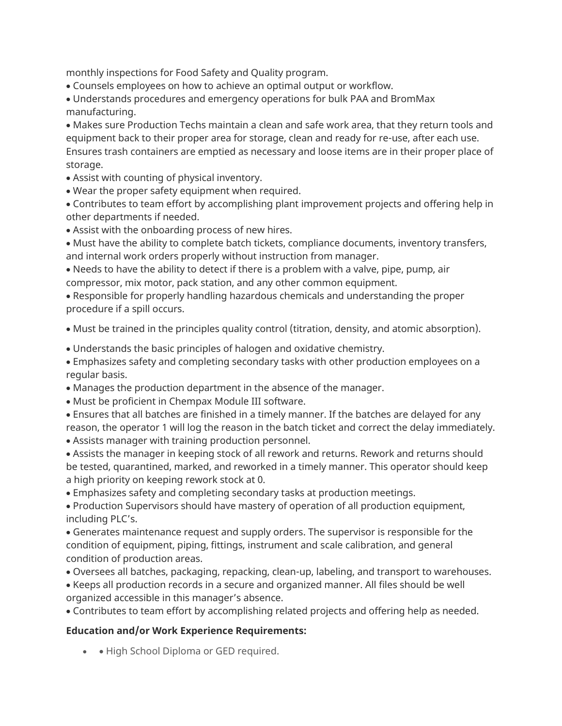monthly inspections for Food Safety and Quality program.

• Counsels employees on how to achieve an optimal output or workflow.

• Understands procedures and emergency operations for bulk PAA and BromMax manufacturing.

• Makes sure Production Techs maintain a clean and safe work area, that they return tools and equipment back to their proper area for storage, clean and ready for re-use, after each use. Ensures trash containers are emptied as necessary and loose items are in their proper place of storage.

- Assist with counting of physical inventory.
- Wear the proper safety equipment when required.

• Contributes to team effort by accomplishing plant improvement projects and offering help in other departments if needed.

• Assist with the onboarding process of new hires.

• Must have the ability to complete batch tickets, compliance documents, inventory transfers, and internal work orders properly without instruction from manager.

• Needs to have the ability to detect if there is a problem with a valve, pipe, pump, air compressor, mix motor, pack station, and any other common equipment.

• Responsible for properly handling hazardous chemicals and understanding the proper procedure if a spill occurs.

• Must be trained in the principles quality control (titration, density, and atomic absorption).

• Understands the basic principles of halogen and oxidative chemistry.

• Emphasizes safety and completing secondary tasks with other production employees on a regular basis.

- Manages the production department in the absence of the manager.
- Must be proficient in Chempax Module III software.
- Ensures that all batches are finished in a timely manner. If the batches are delayed for any reason, the operator 1 will log the reason in the batch ticket and correct the delay immediately.
- Assists manager with training production personnel.

• Assists the manager in keeping stock of all rework and returns. Rework and returns should be tested, quarantined, marked, and reworked in a timely manner. This operator should keep a high priority on keeping rework stock at 0.

• Emphasizes safety and completing secondary tasks at production meetings.

• Production Supervisors should have mastery of operation of all production equipment, including PLC's.

• Generates maintenance request and supply orders. The supervisor is responsible for the condition of equipment, piping, fittings, instrument and scale calibration, and general condition of production areas.

- Oversees all batches, packaging, repacking, clean-up, labeling, and transport to warehouses.
- Keeps all production records in a secure and organized manner. All files should be well organized accessible in this manager's absence.

• Contributes to team effort by accomplishing related projects and offering help as needed.

#### **Education and/or Work Experience Requirements:**

• • High School Diploma or GED required.